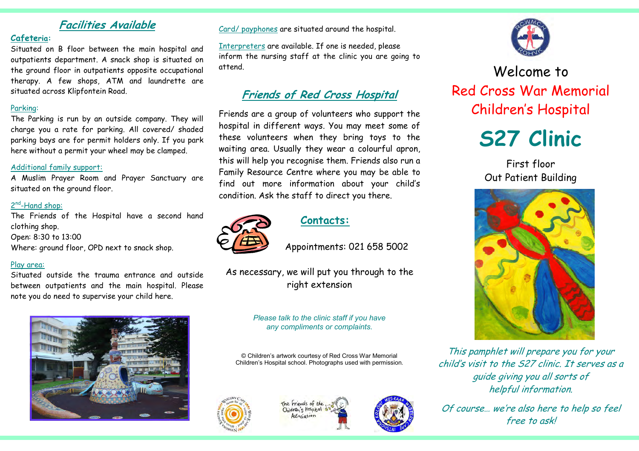## Facilities Available

### Cafeteria:

 Situated on B floor between the main hospital and outpatients department. A snack shop is situated on the ground floor in outpatients opposite occupational therapy. A few shops, ATM and laundrette are situated across Klipfontein Road.

### Parking:

 The Parking is run by an outside company. They will charge you a rate for parking. All covered/ shaded parking bays are for permit holders only. If you park here without a permit your wheel may be clamped.

### Additional family support:

 A Muslim Prayer Room and Prayer Sanctuary are situated on the ground floor.

### 2<sup>nd</sup>-Hand shop:

The Friends of the Hospital have a second hand clothing shop. Open: 8:30 to 13:00 Where: ground floor, OPD next to snack shop.

### Play area:

Situated outside the trauma entrance and outside between outpatients and the main hospital. Please note you do need to supervise your child here.



Card/ payphones are situated around the hospital.

Interpreters are available. If one is needed, please inform the nursing staff at the clinic you are going to attend.

# Friends of Red Cross Hospital

Friends are a group of volunteers who support the hospital in different ways. You may meet some of these volunteers when they bring toys to the waiting area. Usually they wear a colourful apron, this will help you recognise them. Friends also run a Family Resource Centre where you may be able to find out more information about your child's condition. Ask the staff to direct you there.



### Contacts:

Appointments: 021 658 5002

As necessary, we will put you through to the right extension

#### Please talk to the clinic staff if you have any compliments or complaints.

© Children's artwork courtesy of Red Cross War Memorial Children's Hospital school. Photographs used with permission.









Welcome to Red Cross War Memorial Children's Hospital



First floor Out Patient Building



This pamphlet will prepare you for your child's visit to the S27 clinic. It serves as a guide giving you all sorts of helpful information.

Of course… we're also here to help so feel free to ask!